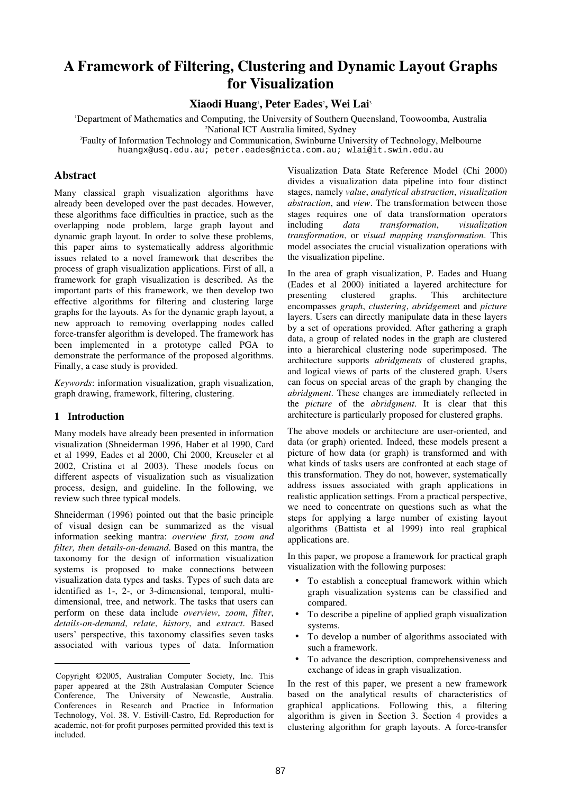# **A Framework of Filtering, Clustering and Dynamic Layout Graphs for Visualization**

**Xiaodi Huang**<sup>1</sup> **, Peter Eades**<sup>2</sup> **, Wei Lai**<sup>3</sup> 

<sup>1</sup>Department of Mathematics and Computing, the University of Southern Queensland, Toowoomba, Australia <sup>2</sup>National ICT Australia limited, Sydney

<sup>3</sup>Faulty of Information Technology and Communication, Swinburne University of Technology, Melbourne huangx@usq.edu.au; peter.eades@nicta.com.au; wlai@it.swin.edu.au

# **Abstract**

Many classical graph visualization algorithms have already been developed over the past decades. However, these algorithms face difficulties in practice, such as the overlapping node problem, large graph layout and dynamic graph layout. In order to solve these problems, this paper aims to systematically address algorithmic issues related to a novel framework that describes the process of graph visualization applications. First of all, a framework for graph visualization is described. As the important parts of this framework, we then develop two effective algorithms for filtering and clustering large graphs for the layouts. As for the dynamic graph layout, a new approach to removing overlapping nodes called force-transfer algorithm is developed. The framework has been implemented in a prototype called PGA to demonstrate the performance of the proposed algorithms. Finally, a case study is provided.

*Keywords*: information visualization, graph visualization, graph drawing, framework, filtering, clustering.

# **1 Introduction**

-

Many models have already been presented in information visualization (Shneiderman 1996, Haber et al 1990, Card et al 1999, Eades et al 2000, Chi 2000, Kreuseler et al 2002, Cristina et al 2003). These models focus on different aspects of visualization such as visualization process, design, and guideline. In the following, we review such three typical models.

Shneiderman (1996) pointed out that the basic principle of visual design can be summarized as the visual information seeking mantra: *overview first, zoom and filter, then details-on-demand*. Based on this mantra, the taxonomy for the design of information visualization systems is proposed to make connections between visualization data types and tasks. Types of such data are identified as 1-, 2-, or 3-dimensional, temporal, multidimensional, tree, and network. The tasks that users can perform on these data include *overview*, *zoom*, *filter*, *details-on-demand*, *relate*, *history*, and *extract*. Based users' perspective, this taxonomy classifies seven tasks associated with various types of data. Information

Visualization Data State Reference Model (Chi 2000) divides a visualization data pipeline into four distinct stages, namely *value*, *analytical abstraction*, *visualization abstraction*, and *view*. The transformation between those stages requires one of data transformation operators including *data transformation*, *visualization transformation*, or *visual mapping transformation*. This model associates the crucial visualization operations with the visualization pipeline.

In the area of graph visualization, P. Eades and Huang (Eades et al 2000) initiated a layered architecture for presenting clustered graphs. This architecture encompasses *graph*, *clustering*, *abridgemen*t and *picture* layers. Users can directly manipulate data in these layers by a set of operations provided. After gathering a graph data, a group of related nodes in the graph are clustered into a hierarchical clustering node superimposed. The architecture supports *abridgments* of clustered graphs, and logical views of parts of the clustered graph. Users can focus on special areas of the graph by changing the *abridgment*. These changes are immediately reflected in the *picture* of the *abridgment*. It is clear that this architecture is particularly proposed for clustered graphs.

The above models or architecture are user-oriented, and data (or graph) oriented. Indeed, these models present a picture of how data (or graph) is transformed and with what kinds of tasks users are confronted at each stage of this transformation. They do not, however, systematically address issues associated with graph applications in realistic application settings. From a practical perspective, we need to concentrate on questions such as what the steps for applying a large number of existing layout algorithms (Battista et al 1999) into real graphical applications are.

In this paper, we propose a framework for practical graph visualization with the following purposes:

- To establish a conceptual framework within which graph visualization systems can be classified and compared.
- To describe a pipeline of applied graph visualization systems.
- To develop a number of algorithms associated with such a framework.
- To advance the description, comprehensiveness and exchange of ideas in graph visualization.

In the rest of this paper, we present a new framework based on the analytical results of characteristics of graphical applications. Following this, a filtering algorithm is given in Section 3. Section 4 provides a clustering algorithm for graph layouts. A force-transfer

Copyright ©2005, Australian Computer Society, Inc. This paper appeared at the 28th Australasian Computer Science Conference, The University of Newcastle, Australia. Conferences in Research and Practice in Information Technology, Vol. 38. V. Estivill-Castro, Ed. Reproduction for academic, not-for profit purposes permitted provided this text is included.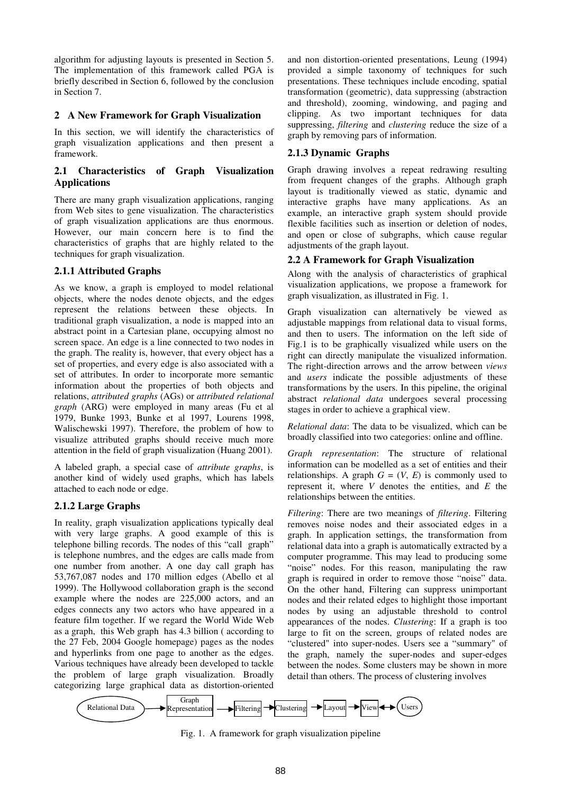algorithm for adjusting layouts is presented in Section 5. The implementation of this framework called PGA is briefly described in Section 6, followed by the conclusion in Section 7.

## **2 A New Framework for Graph Visualization**

In this section, we will identify the characteristics of graph visualization applications and then present a framework.

# **2.1 Characteristics of Graph Visualization Applications**

There are many graph visualization applications, ranging from Web sites to gene visualization. The characteristics of graph visualization applications are thus enormous. However, our main concern here is to find the characteristics of graphs that are highly related to the techniques for graph visualization.

## **2.1.1 Attributed Graphs**

As we know, a graph is employed to model relational objects, where the nodes denote objects, and the edges represent the relations between these objects. In traditional graph visualization, a node is mapped into an abstract point in a Cartesian plane, occupying almost no screen space. An edge is a line connected to two nodes in the graph. The reality is, however, that every object has a set of properties, and every edge is also associated with a set of attributes. In order to incorporate more semantic information about the properties of both objects and relations, *attributed graphs* (AGs) or *attributed relational graph* (ARG) were employed in many areas (Fu et al 1979, Bunke 1993, Bunke et al 1997, Lourens 1998, Walischewski 1997). Therefore, the problem of how to visualize attributed graphs should receive much more attention in the field of graph visualization (Huang 2001).

A labeled graph, a special case of *attribute graphs*, is another kind of widely used graphs, which has labels attached to each node or edge.

# **2.1.2 Large Graphs**

In reality, graph visualization applications typically deal with very large graphs. A good example of this is telephone billing records. The nodes of this "call graph" is telephone numbres, and the edges are calls made from one number from another. A one day call graph has 53,767,087 nodes and 170 million edges (Abello et al 1999). The Hollywood collaboration graph is the second example where the nodes are 225,000 actors, and an edges connects any two actors who have appeared in a feature film together. If we regard the World Wide Web as a graph, this Web graph has 4.3 billion ( according to the 27 Feb, 2004 Google homepage) pages as the nodes and hyperlinks from one page to another as the edges. Various techniques have already been developed to tackle the problem of large graph visualization. Broadly categorizing large graphical data as distortion-oriented and non distortion-oriented presentations, Leung (1994) provided a simple taxonomy of techniques for such presentations. These techniques include encoding, spatial transformation (geometric), data suppressing (abstraction and threshold), zooming, windowing, and paging and clipping. As two important techniques for data suppressing, *filtering* and *clustering* reduce the size of a graph by removing pars of information.

# **2.1.3 Dynamic Graphs**

Graph drawing involves a repeat redrawing resulting from frequent changes of the graphs. Although graph layout is traditionally viewed as static, dynamic and interactive graphs have many applications. As an example, an interactive graph system should provide flexible facilities such as insertion or deletion of nodes, and open or close of subgraphs, which cause regular adjustments of the graph layout.

# **2.2 A Framework for Graph Visualization**

Along with the analysis of characteristics of graphical visualization applications, we propose a framework for graph visualization, as illustrated in Fig. 1.

Graph visualization can alternatively be viewed as adjustable mappings from relational data to visual forms, and then to users. The information on the left side of Fig.1 is to be graphically visualized while users on the right can directly manipulate the visualized information. The right-direction arrows and the arrow between *views* and *users* indicate the possible adjustments of these transformations by the users. In this pipeline, the original abstract *relational data* undergoes several processing stages in order to achieve a graphical view.

*Relational data*: The data to be visualized, which can be broadly classified into two categories: online and offline.

*Graph representation*: The structure of relational information can be modelled as a set of entities and their relationships. A graph  $G = (V, E)$  is commonly used to represent it, where *V* denotes the entities, and *E* the relationships between the entities.

*Filtering*: There are two meanings of *filtering*. Filtering removes noise nodes and their associated edges in a graph. In application settings, the transformation from relational data into a graph is automatically extracted by a computer programme. This may lead to producing some "noise" nodes. For this reason, manipulating the raw graph is required in order to remove those "noise" data. On the other hand, Filtering can suppress unimportant nodes and their related edges to highlight those important nodes by using an adjustable threshold to control appearances of the nodes. *Clustering*: If a graph is too large to fit on the screen, groups of related nodes are "clustered" into super-nodes. Users see a "summary" of the graph, namely the super-nodes and super-edges between the nodes. Some clusters may be shown in more detail than others. The process of clustering involves



Fig. 1. A framework for graph visualization pipeline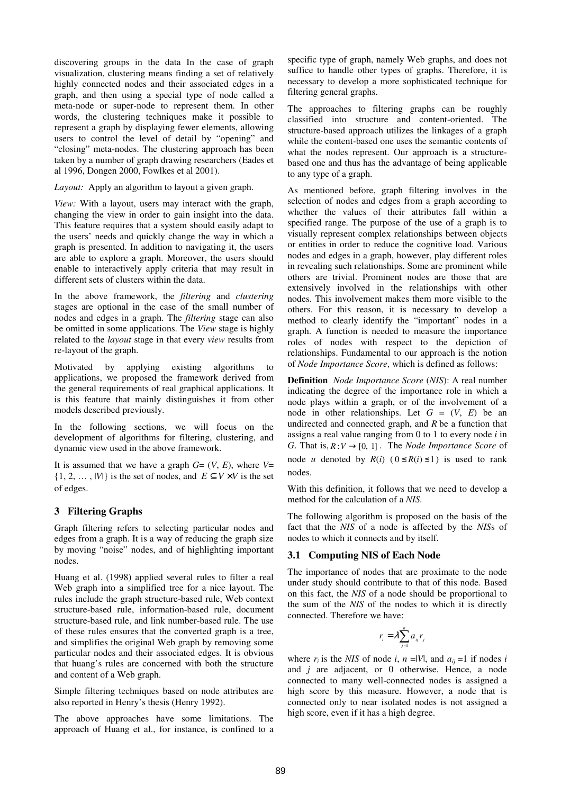discovering groups in the data In the case of graph visualization, clustering means finding a set of relatively highly connected nodes and their associated edges in a graph, and then using a special type of node called a meta-node or super-node to represent them. In other words, the clustering techniques make it possible to represent a graph by displaying fewer elements, allowing users to control the level of detail by "opening" and "closing" meta-nodes. The clustering approach has been taken by a number of graph drawing researchers (Eades et al 1996, Dongen 2000, Fowlkes et al 2001).

*Layout:* Apply an algorithm to layout a given graph.

*View:* With a layout, users may interact with the graph, changing the view in order to gain insight into the data. This feature requires that a system should easily adapt to the users' needs and quickly change the way in which a graph is presented. In addition to navigating it, the users are able to explore a graph. Moreover, the users should enable to interactively apply criteria that may result in different sets of clusters within the data.

In the above framework, the *filtering* and *clustering* stages are optional in the case of the small number of nodes and edges in a graph. The *filtering* stage can also be omitted in some applications. The *View* stage is highly related to the *layout* stage in that every *view* results from re-layout of the graph.

Motivated by applying existing algorithms to applications, we proposed the framework derived from the general requirements of real graphical applications. It is this feature that mainly distinguishes it from other models described previously.

In the following sections, we will focus on the development of algorithms for filtering, clustering, and dynamic view used in the above framework.

It is assumed that we have a graph  $G = (V, E)$ , where  $V =$  $\{1, 2, \ldots, |V|\}$  is the set of nodes, and  $E \subseteq V \times V$  is the set of edges.

# **3 Filtering Graphs**

Graph filtering refers to selecting particular nodes and edges from a graph. It is a way of reducing the graph size by moving "noise" nodes, and of highlighting important nodes.

Huang et al. (1998) applied several rules to filter a real Web graph into a simplified tree for a nice layout. The rules include the graph structure-based rule, Web context structure-based rule, information-based rule, document structure-based rule, and link number-based rule. The use of these rules ensures that the converted graph is a tree, and simplifies the original Web graph by removing some particular nodes and their associated edges. It is obvious that huang's rules are concerned with both the structure and content of a Web graph.

Simple filtering techniques based on node attributes are also reported in Henry's thesis (Henry 1992).

The above approaches have some limitations. The approach of Huang et al., for instance, is confined to a specific type of graph, namely Web graphs, and does not suffice to handle other types of graphs. Therefore, it is necessary to develop a more sophisticated technique for filtering general graphs.

The approaches to filtering graphs can be roughly classified into structure and content-oriented. The structure*-*based approach utilizes the linkages of a graph while the content*-*based one uses the semantic contents of what the nodes represent. Our approach is a structurebased one and thus has the advantage of being applicable to any type of a graph.

As mentioned before, graph filtering involves in the selection of nodes and edges from a graph according to whether the values of their attributes fall within a specified range. The purpose of the use of a graph is to visually represent complex relationships between objects or entities in order to reduce the cognitive load. Various nodes and edges in a graph, however, play different roles in revealing such relationships. Some are prominent while others are trivial. Prominent nodes are those that are extensively involved in the relationships with other nodes. This involvement makes them more visible to the others. For this reason, it is necessary to develop a method to clearly identify the "important" nodes in a graph. A function is needed to measure the importance roles of nodes with respect to the depiction of relationships. Fundamental to our approach is the notion of *Node Importance Score*, which is defined as follows:

**Definition** *Node Importance Score* (*NIS*): A real number indicating the degree of the importance role in which a node plays within a graph, or of the involvement of a node in other relationships. Let  $G = (V, E)$  be an undirected and connected graph, and *R* be a function that assigns a real value ranging from 0 to 1 to every node *i* in *G*. That is,  $R: V \rightarrow [0, 1]$ . The *Node Importance Score* of node *u* denoted by  $R(i)$  ( $0 \le R(i) \le 1$ ) is used to rank nodes.

With this definition, it follows that we need to develop a method for the calculation of a *NIS.*

The following algorithm is proposed on the basis of the fact that the *NIS* of a node is affected by the *NIS*s of nodes to which it connects and by itself.

# **3.1 Computing NIS of Each Node**

The importance of nodes that are proximate to the node under study should contribute to that of this node. Based on this fact, the *NIS* of a node should be proportional to the sum of the *NIS* of the nodes to which it is directly connected. Therefore we have:

$$
r_i = \lambda \sum_{j=1}^n a_{ij} r_j
$$

where  $r_i$  is the *NIS* of node *i*,  $n = |V|$ , and  $a_{ij} = 1$  if nodes *i* and *j* are adjacent, or 0 otherwise. Hence, a node connected to many well-connected nodes is assigned a high score by this measure. However, a node that is connected only to near isolated nodes is not assigned a high score, even if it has a high degree.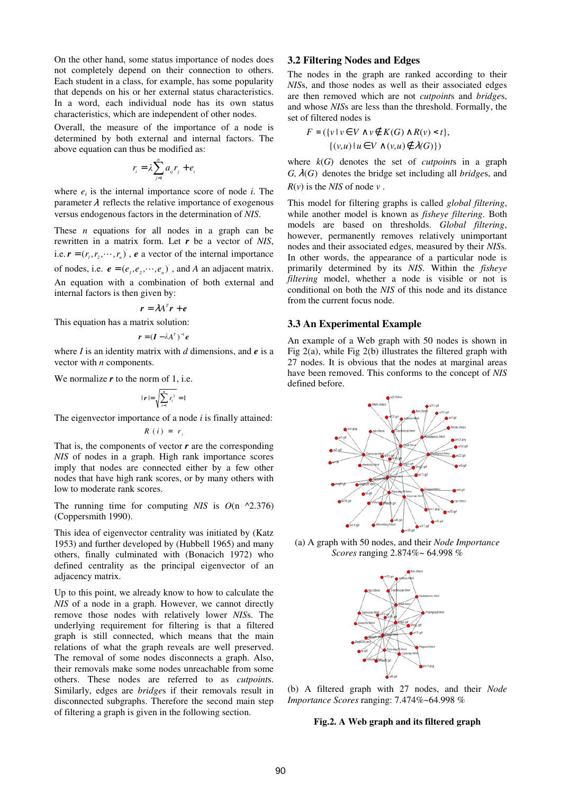On the other hand, some status importance of nodes does not completely depend on their connection to others. Each student in a class, for example, has some popularity that depends on his or her external status characteristics. In a word, each individual node has its own status characteristics, which are independent of other nodes.

Overall, the measure of the importance of a node is determined by both external and internal factors. The above equation can thus be modified as:

$$
r_i = \lambda \sum_{j=1}^n a_{ij} r_j + e
$$

*i*

where  $e_i$  is the internal importance score of node  $i$ . The parameter  $\lambda$  reflects the relative importance of exogenous versus endogenous factors in the determination of *NIS*.

These *n* equations for all nodes in a graph can be rewritten in a matrix form. Let *r* be a vector of *NIS*, i.e.  $\mathbf{r} = (r_1, r_2, \dots, r_n)$ , **e** a vector of the internal importance of nodes, i.e.  $e = (e_1, e_2, \dots, e_n)$ , and *A* an adjacent matrix. An equation with a combination of both external and internal factors is then given by:

$$
\boldsymbol{r} = \lambda A^T \boldsymbol{r} + \boldsymbol{e}
$$

This equation has a matrix solution:

$$
\boldsymbol{r} = (\boldsymbol{I} - \lambda \boldsymbol{A}^T)^{-1} \boldsymbol{e}
$$

where *I* is an identity matrix with *d* dimensions, and *e* is a vector with *n* components.

We normalize *r* to the norm of 1, i.e.

$$
|\boldsymbol{r}| = \sqrt{\sum_{i=1}^{n} r_i^2} = 1
$$

The eigenvector importance of a node *i* is finally attained:

$$
R(i) = r_i
$$

That is, the components of vector *r* are the corresponding *NIS* of nodes in a graph. High rank importance scores imply that nodes are connected either by a few other nodes that have high rank scores, or by many others with low to moderate rank scores.

The running time for computing  $NIS$  is  $O(n \sim 2.376)$ (Coppersmith 1990).

This idea of eigenvector centrality was initiated by (Katz 1953) and further developed by (Hubbell 1965) and many others, finally culminated with (Bonacich 1972) who defined centrality as the principal eigenvector of an adjacency matrix.

Up to this point, we already know to how to calculate the *NIS* of a node in a graph. However, we cannot directly remove those nodes with relatively lower *NIS*s. The underlying requirement for filtering is that a filtered graph is still connected, which means that the main relations of what the graph reveals are well preserved. The removal of some nodes disconnects a graph. Also, their removals make some nodes unreachable from some others. These nodes are referred to as *cutpoint*s. Similarly, edges are *bridge*s if their removals result in disconnected subgraphs. Therefore the second main step of filtering a graph is given in the following section.

## **3.2 Filtering Nodes and Edges**

The nodes in the graph are ranked according to their *NIS*s, and those nodes as well as their associated edges are then removed which are not *cutpoint*s and *bridge*s, and whose *NIS*s are less than the threshold. Formally, the set of filtered nodes is

$$
F = (\{v \mid v \in V \land v \notin K(G) \land R(v) < t\},\
$$

$$
\{(v, u) \mid u \in V \land (v, u) \notin \lambda(G)\})
$$

where *k*(*G*) denotes the set of *cutpoint*s in a graph *G,* λ(*G*) denotes the bridge set including all *bridge*s, and  $R(v)$  is the *NIS* of node  $v$ .

This model for filtering graphs is called *global filtering*, while another model is known as *fisheye filtering*. Both models are based on thresholds. *Global filtering*, however, permanently removes relatively unimportant nodes and their associated edges, measured by their *NIS*s. In other words, the appearance of a particular node is primarily determined by its *NIS*. Within the *fisheye filtering* model, whether a node is visible or not is conditional on both the *NIS* of this node and its distance from the current focus node.

#### **3.3 An Experimental Example**

An example of a Web graph with 50 nodes is shown in Fig 2(a), while Fig 2(b) illustrates the filtered graph with 27 nodes. It is obvious that the nodes at marginal areas have been removed. This conforms to the concept of *NIS* defined before.



(a) A graph with 50 nodes, and their *Node Importance Scores* ranging 2.874%~ 64.998 %



(b) A filtered graph with 27 nodes, and their *Node Importance Scores* ranging: 7.474%~64.998 %

#### **Fig.2. A Web graph and its filtered graph**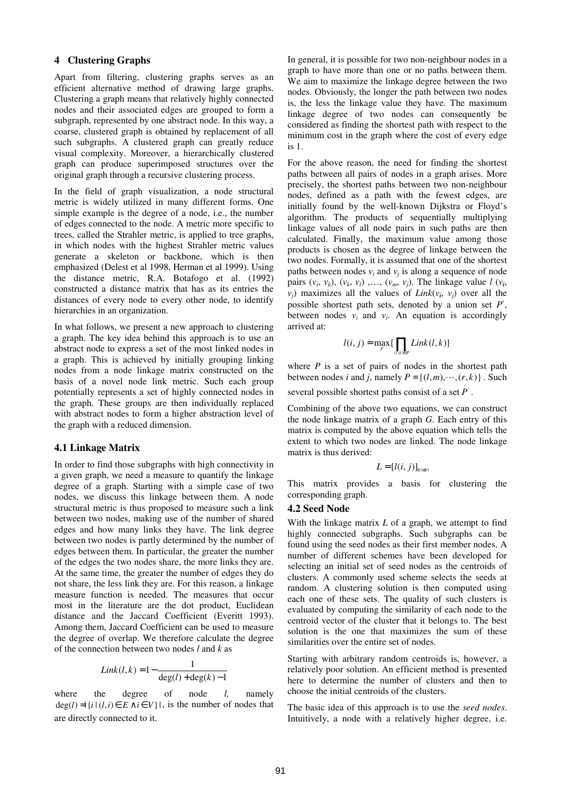#### **4 Clustering Graphs**

Apart from filtering, clustering graphs serves as an efficient alternative method of drawing large graphs. Clustering a graph means that relatively highly connected nodes and their associated edges are grouped to form a subgraph, represented by one abstract node. In this way, a coarse, clustered graph is obtained by replacement of all such subgraphs. A clustered graph can greatly reduce visual complexity. Moreover, a hierarchically clustered graph can produce superimposed structures over the original graph through a recursive clustering process.

In the field of graph visualization, a node structural metric is widely utilized in many different forms. One simple example is the degree of a node, i.e., the number of edges connected to the node. A metric more specific to trees, called the Strahler metric, is applied to tree graphs, in which nodes with the highest Strahler metric values generate a skeleton or backbone, which is then emphasized (Delest et al 1998, Herman et al 1999). Using the distance metric, R.A. Botafogo et al. (1992) constructed a distance matrix that has as its entries the distances of every node to every other node, to identify hierarchies in an organization.

In what follows, we present a new approach to clustering a graph. The key idea behind this approach is to use an abstract node to express a set of the most linked nodes in a graph. This is achieved by initially grouping linking nodes from a node linkage matrix constructed on the basis of a novel node link metric. Such each group potentially represents a set of highly connected nodes in the graph. These groups are then individually replaced with abstract nodes to form a higher abstraction level of the graph with a reduced dimension.

#### **4.1 Linkage Matrix**

In order to find those subgraphs with high connectivity in a given graph, we need a measure to quantify the linkage degree of a graph. Starting with a simple case of two nodes, we discuss this linkage between them. A node structural metric is thus proposed to measure such a link between two nodes, making use of the number of shared edges and how many links they have. The link degree between two nodes is partly determined by the number of edges between them. In particular, the greater the number of the edges the two nodes share, the more links they are. At the same time, the greater the number of edges they do not share, the less link they are. For this reason, a linkage measure function is needed. The measures that occur most in the literature are the dot product, Euclidean distance and the Jaccard Coefficient (Everitt 1993). Among them, Jaccard Coefficient can be used to measure the degree of overlap. We therefore calculate the degree of the connection between two nodes *l* and *k* as

$$
Link(l,k) = 1 - \frac{1}{\deg(l) + \deg(k) - 1}
$$

where the degree of node *l,* namely  $deg(l) = \{ i | (l, i) \in E \land i \in V \}$ , is the number of nodes that are directly connected to it.

In general, it is possible for two non-neighbour nodes in a graph to have more than one or no paths between them. We aim to maximize the linkage degree between the two nodes. Obviously, the longer the path between two nodes is, the less the linkage value they have. The maximum linkage degree of two nodes can consequently be considered as finding the shortest path with respect to the minimum cost in the graph where the cost of every edge is 1.

For the above reason, the need for finding the shortest paths between all pairs of nodes in a graph arises. More precisely, the shortest paths between two non-neighbour nodes, defined as a path with the fewest edges, are initially found by the well-known Dijkstra or Floyd's algorithm. The products of sequentially multiplying linkage values of all node pairs in such paths are then calculated. Finally, the maximum value among those products is chosen as the degree of linkage between the two nodes. Formally, it is assumed that one of the shortest paths between nodes  $v_i$  and  $v_j$  is along a sequence of node pairs  $(v_i, v_k)$ ,  $(v_k, v_l)$ , ...,  $(v_m, v_j)$ . The linkage value  $l(v_i)$ , *v*<sub>*j*</sub>) maximizes all the values of *Link*( $v_i$ ,  $v_j$ ) over all the possible shortest path sets, denoted by a union set *P*′, between nodes  $v_i$  and  $v_i$ . An equation is accordingly arrived at:

$$
l(i, j) = \max_{P} \{ \prod_{(l,k)\in P} Link(l, k) \}
$$

where  $P$  is a set of pairs of nodes in the shortest path between nodes *i* and *j*, namely  $P = \{(l, m), \dots, (r, k)\}\)$ . Such

several possible shortest paths consist of a set  $P'$ .

Combining of the above two equations, we can construct the node linkage matrix of a graph *G*. Each entry of this matrix is computed by the above equation which tells the extent to which two nodes are linked. The node linkage matrix is thus derived:

$$
L=[l(i,j)]_{W\bowtie V}
$$

This matrix provides a basis for clustering the corresponding graph.

#### **4.2 Seed Node**

With the linkage matrix *L* of a graph, we attempt to find highly connected subgraphs. Such subgraphs can be found using the seed nodes as their first member nodes. A number of different schemes have been developed for selecting an initial set of seed nodes as the centroids of clusters. A commonly used scheme selects the seeds at random. A clustering solution is then computed using each one of these sets. The quality of such clusters is evaluated by computing the similarity of each node to the centroid vector of the cluster that it belongs to. The best solution is the one that maximizes the sum of these similarities over the entire set of nodes.

Starting with arbitrary random centroids is, however, a relatively poor solution. An efficient method is presented here to determine the number of clusters and then to choose the initial centroids of the clusters.

The basic idea of this approach is to use the *seed nodes*. Intuitively, a node with a relatively higher degree, i.e.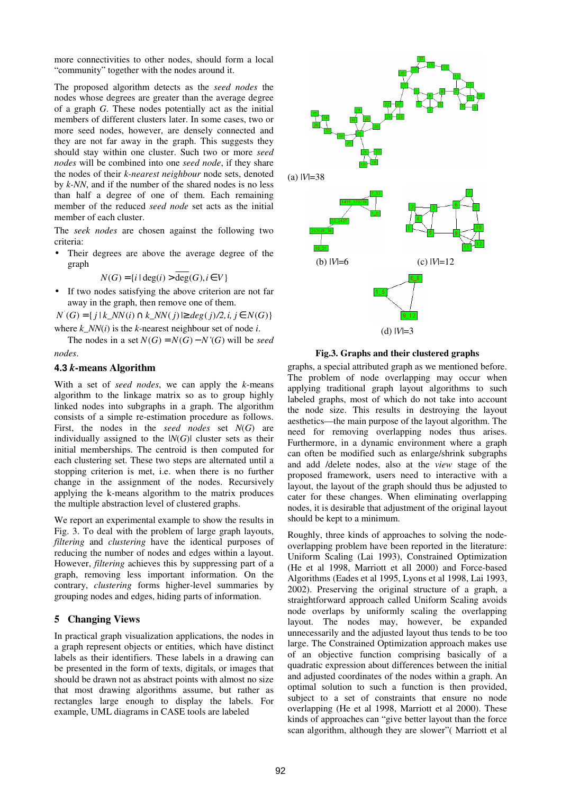more connectivities to other nodes, should form a local "community" together with the nodes around it.

The proposed algorithm detects as the *seed nodes* the nodes whose degrees are greater than the average degree of a graph *G*. These nodes potentially act as the initial members of different clusters later. In some cases, two or more seed nodes, however, are densely connected and they are not far away in the graph. This suggests they should stay within one cluster. Such two or more *seed nodes* will be combined into one *seed node*, if they share the nodes of their *k-nearest neighbour* node sets, denoted by *k-NN*, and if the number of the shared nodes is no less than half a degree of one of them. Each remaining member of the reduced *seed node* set acts as the initial member of each cluster.

The *seek nodes* are chosen against the following two criteria:

Their degrees are above the average degree of the graph

$$
N(G) = \{i \mid \deg(i) > \overline{\deg}(G), i \in V\}
$$

• If two nodes satisfying the above criterion are not far away in the graph, then remove one of them.

*N*<sup>'</sup>(*G*) = { $j$  |  $k$ <sub>*\_</sub>NN*( $i$ ) ∩  $k$ *\_NN*( $j$ ) ⊵  $deg(j)$ /2, $i, j \in N(G)$ }</sub>

where  $k$  *NN*( $i$ ) is the  $k$ -nearest neighbour set of node  $i$ .

The nodes in a set  $N(G) = N(G) - N'(G)$  will be *seed nodes*.

## **4.3** *k***-means Algorithm**

With a set of *seed nodes*, we can apply the *k*-means algorithm to the linkage matrix so as to group highly linked nodes into subgraphs in a graph. The algorithm consists of a simple re-estimation procedure as follows. First, the nodes in the *seed nodes* set *N*(*G*) are individually assigned to the  $|N(G)|$  cluster sets as their initial memberships. The centroid is then computed for each clustering set. These two steps are alternated until a stopping criterion is met, i.e. when there is no further change in the assignment of the nodes. Recursively applying the k-means algorithm to the matrix produces the multiple abstraction level of clustered graphs.

We report an experimental example to show the results in Fig. 3. To deal with the problem of large graph layouts, *filtering* and *clustering* have the identical purposes of reducing the number of nodes and edges within a layout. However, *filtering* achieves this by suppressing part of a graph, removing less important information. On the contrary, *clustering* forms higher-level summaries by grouping nodes and edges, hiding parts of information.

## **5 Changing Views**

In practical graph visualization applications, the nodes in a graph represent objects or entities, which have distinct labels as their identifiers. These labels in a drawing can be presented in the form of texts, digitals, or images that should be drawn not as abstract points with almost no size that most drawing algorithms assume, but rather as rectangles large enough to display the labels. For example, UML diagrams in CASE tools are labeled



**Fig.3. Graphs and their clustered graphs** 

graphs, a special attributed graph as we mentioned before. The problem of node overlapping may occur when applying traditional graph layout algorithms to such labeled graphs, most of which do not take into account the node size. This results in destroying the layout aesthetics—the main purpose of the layout algorithm. The need for removing overlapping nodes thus arises. Furthermore, in a dynamic environment where a graph can often be modified such as enlarge/shrink subgraphs and add /delete nodes, also at the *view* stage of the proposed framework, users need to interactive with a layout, the layout of the graph should thus be adjusted to cater for these changes. When eliminating overlapping nodes, it is desirable that adjustment of the original layout should be kept to a minimum.

Roughly, three kinds of approaches to solving the nodeoverlapping problem have been reported in the literature: Uniform Scaling (Lai 1993), Constrained Optimization (He et al 1998, Marriott et all 2000) and Force-based Algorithms (Eades et al 1995, Lyons et al 1998, Lai 1993, 2002). Preserving the original structure of a graph, a straightforward approach called Uniform Scaling avoids node overlaps by uniformly scaling the overlapping layout. The nodes may, however, be expanded unnecessarily and the adjusted layout thus tends to be too large. The Constrained Optimization approach makes use of an objective function comprising basically of a quadratic expression about differences between the initial and adjusted coordinates of the nodes within a graph. An optimal solution to such a function is then provided, subject to a set of constraints that ensure no node overlapping (He et al 1998, Marriott et al 2000). These kinds of approaches can "give better layout than the force scan algorithm, although they are slower"( Marriott et al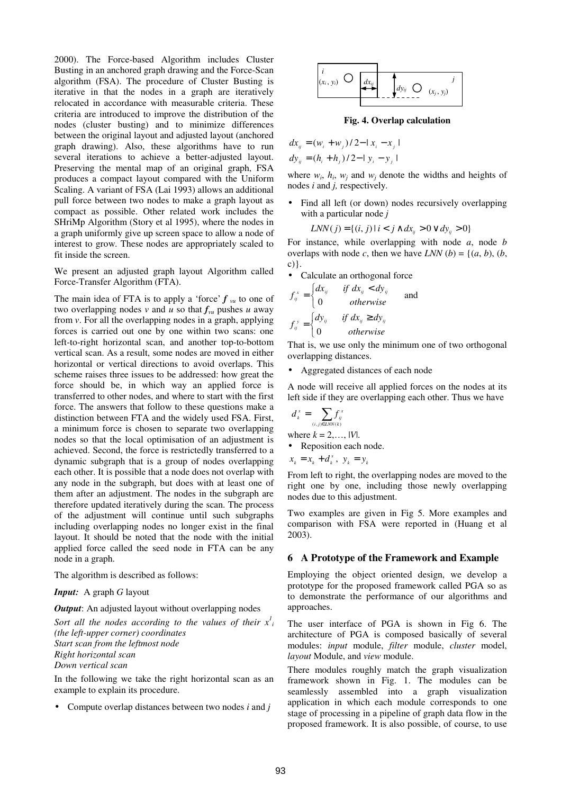2000). The Force-based Algorithm includes Cluster Busting in an anchored graph drawing and the Force-Scan algorithm (FSA). The procedure of Cluster Busting is iterative in that the nodes in a graph are iteratively relocated in accordance with measurable criteria. These criteria are introduced to improve the distribution of the nodes (cluster busting) and to minimize differences between the original layout and adjusted layout (anchored graph drawing). Also, these algorithms have to run several iterations to achieve a better-adjusted layout. Preserving the mental map of an original graph, FSA produces a compact layout compared with the Uniform Scaling. A variant of FSA (Lai 1993) allows an additional pull force between two nodes to make a graph layout as compact as possible. Other related work includes the SHriMp Algorithm (Story et al 1995), where the nodes in a graph uniformly give up screen space to allow a node of interest to grow. These nodes are appropriately scaled to fit inside the screen.

We present an adjusted graph layout Algorithm called Force-Transfer Algorithm (FTA).

The main idea of FTA is to apply a 'force'  $f_{vu}$  to one of two overlapping nodes v and u so that  $f_{vu}$  pushes u away from *v*. For all the overlapping nodes in a graph, applying forces is carried out one by one within two scans: one left-to-right horizontal scan, and another top-to-bottom vertical scan. As a result, some nodes are moved in either horizontal or vertical directions to avoid overlaps. This scheme raises three issues to be addressed: how great the force should be, in which way an applied force is transferred to other nodes, and where to start with the first force. The answers that follow to these questions make a distinction between FTA and the widely used FSA. First, a minimum force is chosen to separate two overlapping nodes so that the local optimisation of an adjustment is achieved. Second, the force is restrictedly transferred to a dynamic subgraph that is a group of nodes overlapping each other. It is possible that a node does not overlap with any node in the subgraph, but does with at least one of them after an adjustment. The nodes in the subgraph are therefore updated iteratively during the scan. The process of the adjustment will continue until such subgraphs including overlapping nodes no longer exist in the final layout. It should be noted that the node with the initial applied force called the seed node in FTA can be any node in a graph.

The algorithm is described as follows:

#### *Input:* A graph *G* layout

*Output*: An adjusted layout without overlapping nodes

Sort all the nodes according to the values of their  $x_i^l$ *(the left-upper corner) coordinates Start scan from the leftmost node* 

*Right horizontal scan* 

*Down vertical scan* 

In the following we take the right horizontal scan as an example to explain its procedure.

• Compute overlap distances between two nodes *i* and *j*



**Fig. 4. Overlap calculation** 

$$
dx_{ij} = (w_i + w_j)/2 - |x_i - x_j|
$$
  
\n
$$
dy_{ij} = (h_i + h_j)/2 - |y_i - y_j|
$$

where  $w_i$ ,  $h_i$ ,  $w_j$  and  $w_j$  denote the widths and heights of nodes *i* and *j,* respectively*.*

• Find all left (or down) nodes recursively overlapping with a particular node *j*

$$
LNN(j) = \{(i, j) | i < j \land dx_{ij} > 0 \lor dy_{ij} > 0\}
$$

For instance, while overlapping with node *a*, node *b* overlaps with node *c*, then we have *LNN* (*b*) = {(*a*, *b*), (*b*, c)}.

• Calculate an orthogonal force

$$
f_{ij}^{x} = \begin{cases} dx_{ij} & \text{if } dx_{ij} < dy_{ij} \\ 0 & \text{otherwise} \end{cases} \quad \text{and} \quad f_{ij}^{y} = \begin{cases} dy_{ij} & \text{if } dx_{ij} \ge dy_{ij} \\ 0 & \text{otherwise} \end{cases}
$$

That is, we use only the minimum one of two orthogonal overlapping distances.

• Aggregated distances of each node

A node will receive all applied forces on the nodes at its left side if they are overlapping each other. Thus we have

$$
d_i^x = \sum_{(i,j)\in LNN(k)} f_{ij}^x
$$

where  $k = 2, \ldots$   $|V|$ .

• Reposition each node.

 $x_k = x_k + d_k^x, \ y_k = y_k$ 

From left to right, the overlapping nodes are moved to the right one by one, including those newly overlapping nodes due to this adjustment.

Two examples are given in Fig 5. More examples and comparison with FSA were reported in (Huang et al 2003).

#### **6 A Prototype of the Framework and Example**

Employing the object oriented design, we develop a prototype for the proposed framework called PGA so as to demonstrate the performance of our algorithms and approaches.

The user interface of PGA is shown in Fig 6. The architecture of PGA is composed basically of several modules: *input* module, *filter* module, *cluster* model, *layout* Module, and *view* module.

There modules roughly match the graph visualization framework shown in Fig. 1. The modules can be seamlessly assembled into a graph visualization application in which each module corresponds to one stage of processing in a pipeline of graph data flow in the proposed framework. It is also possible, of course, to use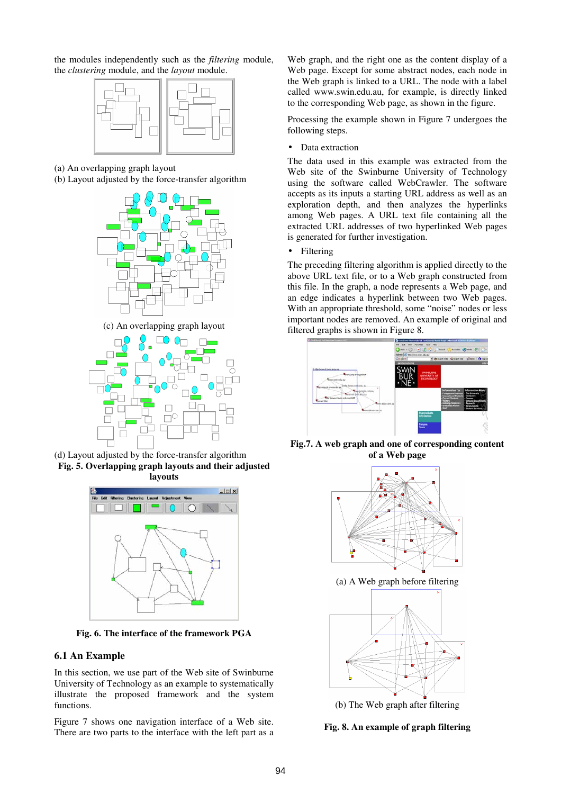the modules independently such as the *filtering* module, the *clustering* module, and the *layout* module.



(a) An overlapping graph layout

(b) Layout adjusted by the force-transfer algorithm



(c) An overlapping graph layout







**Fig. 6. The interface of the framework PGA** 

## **6.1 An Example**

In this section, we use part of the Web site of Swinburne University of Technology as an example to systematically illustrate the proposed framework and the system functions.

Figure 7 shows one navigation interface of a Web site. There are two parts to the interface with the left part as a Web graph, and the right one as the content display of a Web page. Except for some abstract nodes, each node in the Web graph is linked to a URL. The node with a label called www.swin.edu.au, for example, is directly linked to the corresponding Web page, as shown in the figure.

Processing the example shown in Figure 7 undergoes the following steps.

• Data extraction

The data used in this example was extracted from the Web site of the Swinburne University of Technology using the software called WebCrawler. The software accepts as its inputs a starting URL address as well as an exploration depth, and then analyzes the hyperlinks among Web pages. A URL text file containing all the extracted URL addresses of two hyperlinked Web pages is generated for further investigation.

• Filtering

The preceding filtering algorithm is applied directly to the above URL text file, or to a Web graph constructed from this file. In the graph, a node represents a Web page, and an edge indicates a hyperlink between two Web pages. With an appropriate threshold, some "noise" nodes or less important nodes are removed. An example of original and filtered graphs is shown in Figure 8.



**Fig.7. A web graph and one of corresponding content of a Web page** 



**Fig. 8. An example of graph filtering**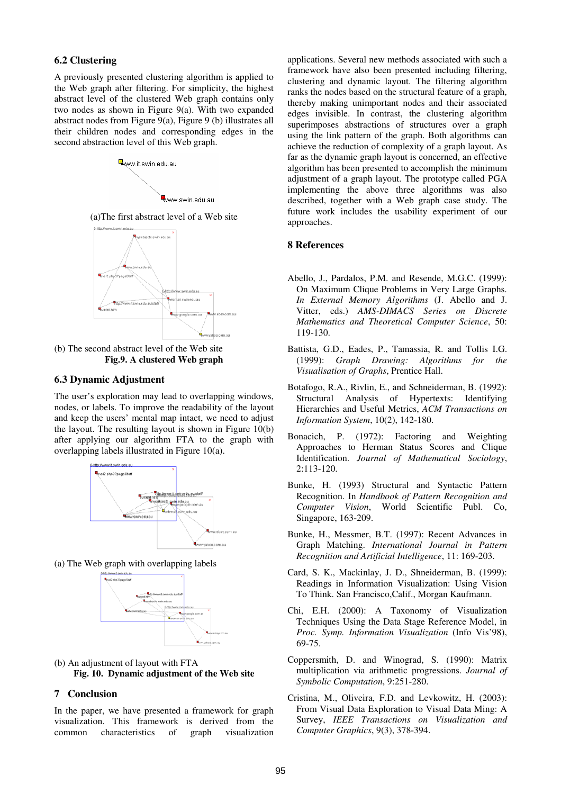#### **6.2 Clustering**

A previously presented clustering algorithm is applied to the Web graph after filtering. For simplicity, the highest abstract level of the clustered Web graph contains only two nodes as shown in Figure 9(a). With two expanded abstract nodes from Figure 9(a), Figure 9 (b) illustrates all their children nodes and corresponding edges in the second abstraction level of this Web graph.



(a)The first abstract level of a Web site



(b) The second abstract level of the Web site **Fig.9. A clustered Web graph** 

## **6.3 Dynamic Adjustment**

The user's exploration may lead to overlapping windows, nodes, or labels. To improve the readability of the layout and keep the users' mental map intact, we need to adjust the layout. The resulting layout is shown in Figure 10(b) after applying our algorithm FTA to the graph with overlapping labels illustrated in Figure 10(a).



(a) The Web graph with overlapping labels



(b) An adjustment of layout with FTA **Fig. 10. Dynamic adjustment of the Web site** 

#### **7 Conclusion**

In the paper, we have presented a framework for graph visualization. This framework is derived from the common characteristics of graph visualization applications. Several new methods associated with such a framework have also been presented including filtering, clustering and dynamic layout. The filtering algorithm ranks the nodes based on the structural feature of a graph, thereby making unimportant nodes and their associated edges invisible. In contrast, the clustering algorithm superimposes abstractions of structures over a graph using the link pattern of the graph. Both algorithms can achieve the reduction of complexity of a graph layout. As far as the dynamic graph layout is concerned, an effective algorithm has been presented to accomplish the minimum adjustment of a graph layout. The prototype called PGA implementing the above three algorithms was also described, together with a Web graph case study. The future work includes the usability experiment of our approaches.

#### **8 References**

- Abello, J., Pardalos, P.M. and Resende, M.G.C. (1999): On Maximum Clique Problems in Very Large Graphs. *In External Memory Algorithms* (J. Abello and J. Vitter, eds.) *AMS-DIMACS Series on Discrete Mathematics and Theoretical Computer Science*, 50: 119-130.
- Battista, G.D., Eades, P., Tamassia, R. and Tollis I.G. (1999): *Graph Drawing: Algorithms for the Visualisation of Graphs*, Prentice Hall.
- Botafogo, R.A., Rivlin, E., and Schneiderman, B. (1992): Structural Analysis of Hypertexts: Identifying Hierarchies and Useful Metrics, *ACM Transactions on Information System*, 10(2), 142-180.
- Bonacich, P. (1972): Factoring and Weighting Approaches to Herman Status Scores and Clique Identification. *Journal of Mathematical Sociology*, 2:113-120.
- Bunke, H. (1993) Structural and Syntactic Pattern Recognition. In *Handbook of Pattern Recognition and Computer Vision*, World Scientific Publ. Co, Singapore, 163-209.
- Bunke, H., Messmer, B.T. (1997): Recent Advances in Graph Matching. *International Journal in Pattern Recognition and Artificial Intelligence*, 11: 169-203.
- Card, S. K., Mackinlay, J. D., Shneiderman, B. (1999): Readings in Information Visualization: Using Vision To Think. San Francisco,Calif., Morgan Kaufmann.
- Chi, E.H. (2000): A Taxonomy of Visualization Techniques Using the Data Stage Reference Model, in *Proc. Symp. Information Visualization* (Info Vis'98), 69-75.
- Coppersmith, D. and Winograd, S. (1990): Matrix multiplication via arithmetic progressions. *Journal of Symbolic Computation*, 9:251-280.
- Cristina, M., Oliveira, F.D. and Levkowitz, H. (2003): From Visual Data Exploration to Visual Data Ming: A Survey, *IEEE Transactions on Visualization and Computer Graphics*, 9(3), 378-394.